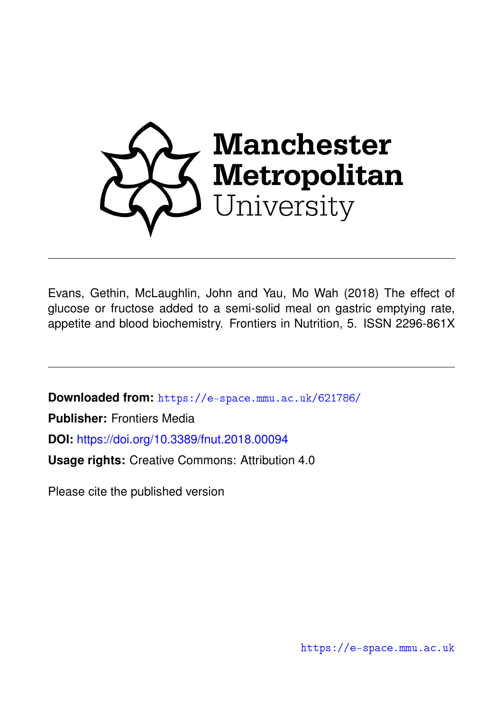

Evans, Gethin, McLaughlin, John and Yau, Mo Wah (2018) The effect of glucose or fructose added to a semi-solid meal on gastric emptying rate, appetite and blood biochemistry. Frontiers in Nutrition, 5. ISSN 2296-861X

**Downloaded from:** <https://e-space.mmu.ac.uk/621786/>

**Publisher:** Frontiers Media

**DOI:** <https://doi.org/10.3389/fnut.2018.00094>

**Usage rights:** Creative Commons: Attribution 4.0

Please cite the published version

<https://e-space.mmu.ac.uk>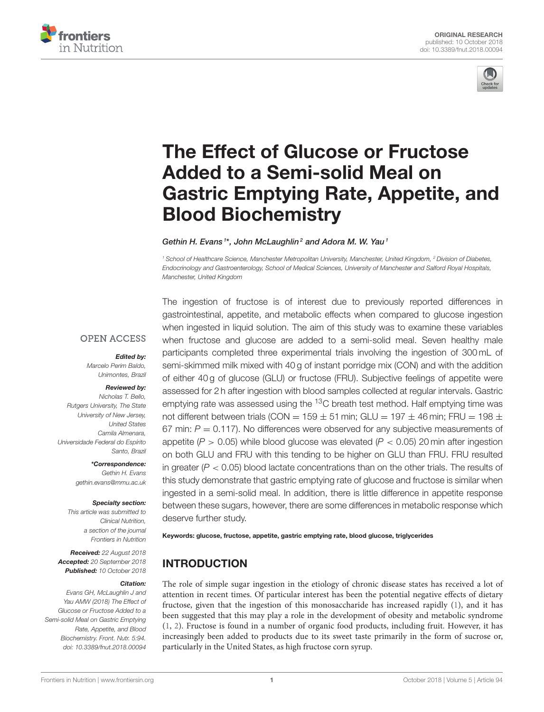



# The Effect of Glucose or Fructose Added to a Semi-solid Meal on [Gastric Emptying Rate, Appetite, and](https://www.frontiersin.org/articles/10.3389/fnut.2018.00094/full) Blood Biochemistry

[Gethin H. Evans](http://loop.frontiersin.org/people/538562/overview)<sup>1\*</sup>, [John McLaughlin](http://loop.frontiersin.org/people/12855/overview)<sup>2</sup> and [Adora M. W. Yau](http://loop.frontiersin.org/people/567564/overview)<sup>1</sup>

<sup>1</sup> School of Healthcare Science, Manchester Metropolitan University, Manchester, United Kingdom, <sup>2</sup> Division of Diabetes, Endocrinology and Gastroenterology, School of Medical Sciences, University of Manchester and Salford Royal Hospitals, Manchester, United Kingdom

### **OPEN ACCESS**

#### Edited by:

Marcelo Perim Baldo, Unimontes, Brazil

#### Reviewed by:

Nicholas T. Bello, Rutgers University, The State University of New Jersey, United States Camila Almenara, Universidade Federal do Espírito Santo, Brazil

> \*Correspondence: Gethin H. Evans [gethin.evans@mmu.ac.uk](mailto:gethin.evans@mmu.ac.uk)

#### Specialty section:

This article was submitted to Clinical Nutrition, a section of the journal Frontiers in Nutrition

Received: 22 August 2018 Accepted: 20 September 2018 Published: 10 October 2018

#### Citation:

Evans GH, McLaughlin J and Yau AMW (2018) The Effect of Glucose or Fructose Added to a Semi-solid Meal on Gastric Emptying Rate, Appetite, and Blood Biochemistry. Front. Nutr. 5:94. doi: [10.3389/fnut.2018.00094](https://doi.org/10.3389/fnut.2018.00094)

The ingestion of fructose is of interest due to previously reported differences in gastrointestinal, appetite, and metabolic effects when compared to glucose ingestion when ingested in liquid solution. The aim of this study was to examine these variables when fructose and glucose are added to a semi-solid meal. Seven healthy male participants completed three experimental trials involving the ingestion of 300 mL of semi-skimmed milk mixed with 40 g of instant porridge mix (CON) and with the addition of either 40 g of glucose (GLU) or fructose (FRU). Subjective feelings of appetite were assessed for 2 h after ingestion with blood samples collected at regular intervals. Gastric emptying rate was assessed using the  ${}^{13}$ C breath test method. Half emptying time was not different between trials (CON =  $159 \pm 51$  min; GLU =  $197 \pm 46$  min; FRU =  $198 \pm 51$ 67 min:  $P = 0.117$ ). No differences were observed for any subjective measurements of appetite ( $P > 0.05$ ) while blood glucose was elevated ( $P < 0.05$ ) 20 min after ingestion on both GLU and FRU with this tending to be higher on GLU than FRU. FRU resulted in greater ( $P < 0.05$ ) blood lactate concentrations than on the other trials. The results of this study demonstrate that gastric emptying rate of glucose and fructose is similar when ingested in a semi-solid meal. In addition, there is little difference in appetite response between these sugars, however, there are some differences in metabolic response which deserve further study.

Keywords: glucose, fructose, appetite, gastric emptying rate, blood glucose, triglycerides

# INTRODUCTION

The role of simple sugar ingestion in the etiology of chronic disease states has received a lot of attention in recent times. Of particular interest has been the potential negative effects of dietary fructose, given that the ingestion of this monosaccharide has increased rapidly [\(1\)](#page-6-0), and it has been suggested that this may play a role in the development of obesity and metabolic syndrome [\(1,](#page-6-0) [2\)](#page-6-1). Fructose is found in a number of organic food products, including fruit. However, it has increasingly been added to products due to its sweet taste primarily in the form of sucrose or, particularly in the United States, as high fructose corn syrup.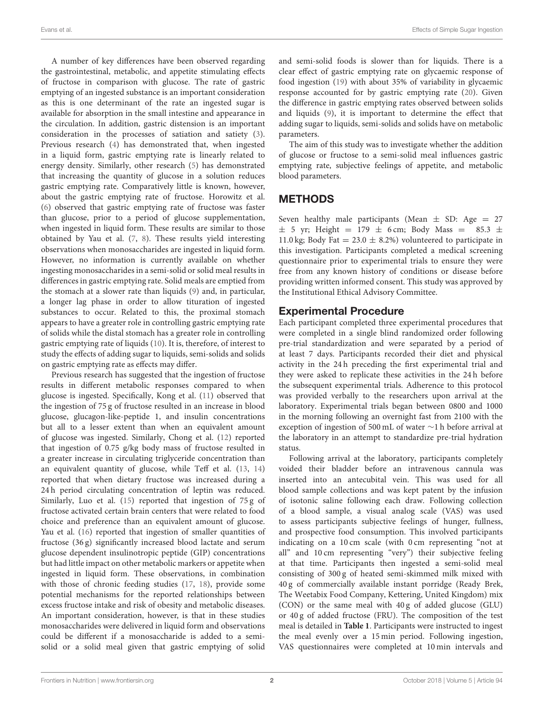A number of key differences have been observed regarding the gastrointestinal, metabolic, and appetite stimulating effects of fructose in comparison with glucose. The rate of gastric emptying of an ingested substance is an important consideration as this is one determinant of the rate an ingested sugar is available for absorption in the small intestine and appearance in the circulation. In addition, gastric distension is an important consideration in the processes of satiation and satiety [\(3\)](#page-6-2). Previous research [\(4\)](#page-6-3) has demonstrated that, when ingested in a liquid form, gastric emptying rate is linearly related to energy density. Similarly, other research [\(5\)](#page-6-4) has demonstrated that increasing the quantity of glucose in a solution reduces gastric emptying rate. Comparatively little is known, however, about the gastric emptying rate of fructose. Horowitz et al. [\(6\)](#page-6-5) observed that gastric emptying rate of fructose was faster than glucose, prior to a period of glucose supplementation, when ingested in liquid form. These results are similar to those obtained by Yau et al. [\(7,](#page-6-6) [8\)](#page-6-7). These results yield interesting observations when monosaccharides are ingested in liquid form. However, no information is currently available on whether ingesting monosaccharides in a semi-solid or solid meal results in differences in gastric emptying rate. Solid meals are emptied from the stomach at a slower rate than liquids [\(9\)](#page-6-8) and, in particular, a longer lag phase in order to allow tituration of ingested substances to occur. Related to this, the proximal stomach appears to have a greater role in controlling gastric emptying rate of solids while the distal stomach has a greater role in controlling gastric emptying rate of liquids [\(10\)](#page-6-9). It is, therefore, of interest to study the effects of adding sugar to liquids, semi-solids and solids on gastric emptying rate as effects may differ.

Previous research has suggested that the ingestion of fructose results in different metabolic responses compared to when glucose is ingested. Specifically, Kong et al. [\(11\)](#page-6-10) observed that the ingestion of 75 g of fructose resulted in an increase in blood glucose, glucagon-like-peptide 1, and insulin concentrations but all to a lesser extent than when an equivalent amount of glucose was ingested. Similarly, Chong et al. [\(12\)](#page-6-11) reported that ingestion of 0.75 g/kg body mass of fructose resulted in a greater increase in circulating triglyceride concentration than an equivalent quantity of glucose, while Teff et al. [\(13,](#page-6-12) [14\)](#page-7-0) reported that when dietary fructose was increased during a 24 h period circulating concentration of leptin was reduced. Similarly, Luo et al. [\(15\)](#page-7-1) reported that ingestion of 75 g of fructose activated certain brain centers that were related to food choice and preference than an equivalent amount of glucose. Yau et al. [\(16\)](#page-7-2) reported that ingestion of smaller quantities of fructose (36 g) significantly increased blood lactate and serum glucose dependent insulinotropic peptide (GIP) concentrations but had little impact on other metabolic markers or appetite when ingested in liquid form. These observations, in combination with those of chronic feeding studies [\(17,](#page-7-3) [18\)](#page-7-4), provide some potential mechanisms for the reported relationships between excess fructose intake and risk of obesity and metabolic diseases. An important consideration, however, is that in these studies monosaccharides were delivered in liquid form and observations could be different if a monosaccharide is added to a semisolid or a solid meal given that gastric emptying of solid

and semi-solid foods is slower than for liquids. There is a clear effect of gastric emptying rate on glycaemic response of food ingestion [\(19\)](#page-7-5) with about 35% of variability in glycaemic response accounted for by gastric emptying rate [\(20\)](#page-7-6). Given the difference in gastric emptying rates observed between solids and liquids [\(9\)](#page-6-8), it is important to determine the effect that adding sugar to liquids, semi-solids and solids have on metabolic parameters.

The aim of this study was to investigate whether the addition of glucose or fructose to a semi-solid meal influences gastric emptying rate, subjective feelings of appetite, and metabolic blood parameters.

# METHODS

Seven healthy male participants (Mean  $\pm$  SD: Age = 27  $\pm$  5 yr; Height = 179  $\pm$  6 cm; Body Mass = 85.3  $\pm$ 11.0 kg; Body Fat =  $23.0 \pm 8.2$ %) volunteered to participate in this investigation. Participants completed a medical screening questionnaire prior to experimental trials to ensure they were free from any known history of conditions or disease before providing written informed consent. This study was approved by the Institutional Ethical Advisory Committee.

# Experimental Procedure

Each participant completed three experimental procedures that were completed in a single blind randomized order following pre-trial standardization and were separated by a period of at least 7 days. Participants recorded their diet and physical activity in the 24 h preceding the first experimental trial and they were asked to replicate these activities in the 24 h before the subsequent experimental trials. Adherence to this protocol was provided verbally to the researchers upon arrival at the laboratory. Experimental trials began between 0800 and 1000 in the morning following an overnight fast from 2100 with the exception of ingestion of 500 mL of water ∼1 h before arrival at the laboratory in an attempt to standardize pre-trial hydration status.

Following arrival at the laboratory, participants completely voided their bladder before an intravenous cannula was inserted into an antecubital vein. This was used for all blood sample collections and was kept patent by the infusion of isotonic saline following each draw. Following collection of a blood sample, a visual analog scale (VAS) was used to assess participants subjective feelings of hunger, fullness, and prospective food consumption. This involved participants indicating on a 10 cm scale (with 0 cm representing "not at all" and 10 cm representing "very") their subjective feeling at that time. Participants then ingested a semi-solid meal consisting of 300 g of heated semi-skimmed milk mixed with 40 g of commercially available instant porridge (Ready Brek, The Weetabix Food Company, Kettering, United Kingdom) mix (CON) or the same meal with 40 g of added glucose (GLU) or 40 g of added fructose (FRU). The composition of the test meal is detailed in **[Table 1](#page-3-0)**. Participants were instructed to ingest the meal evenly over a 15 min period. Following ingestion, VAS questionnaires were completed at 10 min intervals and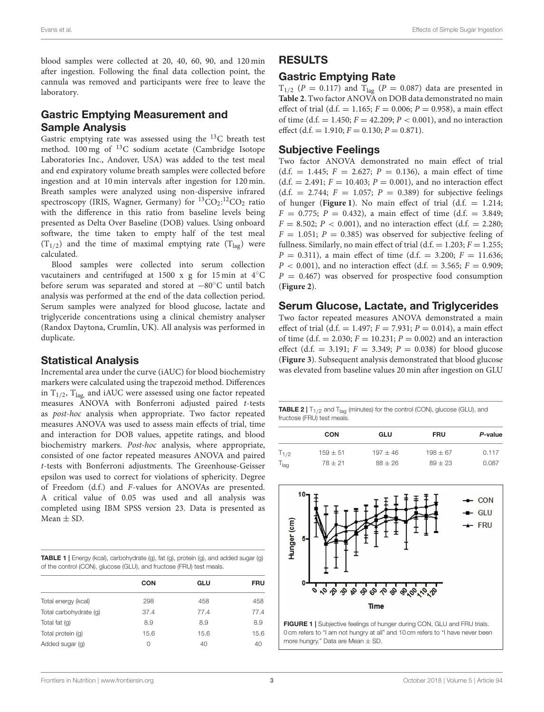blood samples were collected at 20, 40, 60, 90, and 120 min after ingestion. Following the final data collection point, the cannula was removed and participants were free to leave the laboratory.

# Gastric Emptying Measurement and Sample Analysis

Gastric emptying rate was assessed using the <sup>13</sup>C breath test method. 100 mg of <sup>13</sup>C sodium acetate (Cambridge Isotope Laboratories Inc., Andover, USA) was added to the test meal and end expiratory volume breath samples were collected before ingestion and at 10 min intervals after ingestion for 120 min. Breath samples were analyzed using non-dispersive infrared spectroscopy (IRIS, Wagner, Germany) for <sup>13</sup>CO<sub>2</sub>:<sup>12</sup>CO<sub>2</sub> ratio with the difference in this ratio from baseline levels being presented as Delta Over Baseline (DOB) values. Using onboard software, the time taken to empty half of the test meal  $(T_{1/2})$  and the time of maximal emptying rate  $(T_{1a\sigma})$  were calculated.

Blood samples were collected into serum collection vacutainers and centrifuged at 1500 x g for 15 min at 4◦C before serum was separated and stored at −80◦C until batch analysis was performed at the end of the data collection period. Serum samples were analyzed for blood glucose, lactate and triglyceride concentrations using a clinical chemistry analyser (Randox Daytona, Crumlin, UK). All analysis was performed in duplicate.

#### Statistical Analysis

Incremental area under the curve (iAUC) for blood biochemistry markers were calculated using the trapezoid method. Differences in  $T_{1/2}$ ,  $T_{lag}$  and iAUC were assessed using one factor repeated measures ANOVA with Bonferroni adjusted paired t-tests as post-hoc analysis when appropriate. Two factor repeated measures ANOVA was used to assess main effects of trial, time and interaction for DOB values, appetite ratings, and blood biochemistry markers. Post-hoc analysis, where appropriate, consisted of one factor repeated measures ANOVA and paired t-tests with Bonferroni adjustments. The Greenhouse-Geisser epsilon was used to correct for violations of sphericity. Degree of Freedom (d.f.) and F-values for ANOVAs are presented. A critical value of 0.05 was used and all analysis was completed using IBM SPSS version 23. Data is presented as Mean  $\pm$  SD.

<span id="page-3-0"></span>

|                                                                     | <b>TABLE 1</b> Energy (kcal), carbohydrate (g), fat (g), protein (g), and added sugar (g) |
|---------------------------------------------------------------------|-------------------------------------------------------------------------------------------|
| of the control (CON), glucose (GLU), and fructose (FRU) test meals. |                                                                                           |

|                        | <b>CON</b> | GLU  | <b>FRU</b> |  |
|------------------------|------------|------|------------|--|
| Total energy (kcal)    | 298        | 458  | 458        |  |
| Total carbohydrate (q) | 37.4       | 77.4 | 77.4       |  |
| Total fat (q)          | 8.9        | 8.9  | 8.9        |  |
| Total protein (q)      | 15.6       | 15.6 | 15.6       |  |
| Added sugar (g)        | 0          | 40   | 40         |  |

# RESULTS

### Gastric Emptying Rate

 $T_{1/2}$  (P = 0.117) and  $T_{\text{lag}}$  (P = 0.087) data are presented in **[Table 2](#page-3-1)**. Two factor ANOVA on DOB data demonstrated no main effect of trial (d.f. = 1.165;  $F = 0.006$ ;  $P = 0.958$ ), a main effect of time (d.f. = 1.450;  $F = 42.209$ ;  $P < 0.001$ ), and no interaction effect (d.f. = 1.910;  $F = 0.130$ ;  $P = 0.871$ ).

#### Subjective Feelings

Two factor ANOVA demonstrated no main effect of trial  $(d.f. = 1.445; F = 2.627; P = 0.136)$ , a main effect of time  $(d.f. = 2.491; F = 10.403; P = 0.001)$ , and no interaction effect  $(d.f. = 2.744; F = 1.057; P = 0.389)$  for subjective feelings of hunger (**[Figure 1](#page-3-2)**). No main effect of trial  $(d.f. = 1.214;$  $F = 0.775$ ;  $P = 0.432$ ), a main effect of time (d.f. = 3.849;  $F = 8.502$ ;  $P < 0.001$ ), and no interaction effect (d.f. = 2.280;  $F = 1.051$ ;  $P = 0.385$ ) was observed for subjective feeling of fullness. Similarly, no main effect of trial (d.f. = 1.203;  $F = 1.255$ ;  $P = 0.311$ , a main effect of time (d.f. = 3.200;  $F = 11.636$ ;  $P < 0.001$ ), and no interaction effect (d.f. = 3.565;  $F = 0.909$ ;  $P = 0.467$ ) was observed for prospective food consumption (**[Figure 2](#page-4-0)**).

## Serum Glucose, Lactate, and Triglycerides

Two factor repeated measures ANOVA demonstrated a main effect of trial (d.f. = 1.497;  $F = 7.931$ ;  $P = 0.014$ ), a main effect of time (d.f. = 2.030;  $F = 10.231$ ;  $P = 0.002$ ) and an interaction effect (d.f. = 3.191;  $F = 3.349$ ;  $P = 0.038$ ) for blood glucose (**[Figure 3](#page-4-1)**). Subsequent analysis demonstrated that blood glucose was elevated from baseline values 20 min after ingestion on GLU

<span id="page-3-1"></span>**TABLE 2** |  $T_{1/2}$  and  $T_{\text{lag}}$  (minutes) for the control (CON), glucose (GLU), and fructose (FRU) test meals.

|                  | <b>CON</b> | GLU          | <b>FRU</b>   | P-value |
|------------------|------------|--------------|--------------|---------|
| $T_{1/2}$        | $159 + 51$ | $197 \pm 46$ | $198 \pm 67$ | 0.117   |
| $T_{\text{lag}}$ | $78 + 21$  | $88 \pm 26$  | $89 + 23$    | 0.087   |



<span id="page-3-2"></span>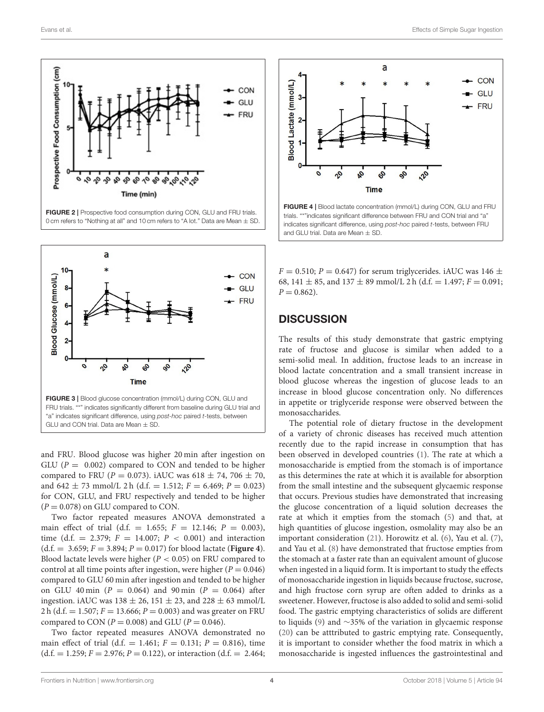

<span id="page-4-0"></span>FIGURE 2 | Prospective food consumption during CON, GLU and FRU trials. 0 cm refers to "Nothing at all" and 10 cm refers to "A lot." Data are Mean  $\pm$  SD.



<span id="page-4-1"></span>and FRU. Blood glucose was higher 20 min after ingestion on GLU ( $P = 0.002$ ) compared to CON and tended to be higher compared to FRU ( $P = 0.073$ ). iAUC was 618  $\pm$  74, 706  $\pm$  70, and  $642 \pm 73$  mmol/L 2 h (d.f. = 1.512;  $F = 6.469$ ;  $P = 0.023$ ) for CON, GLU, and FRU respectively and tended to be higher  $(P = 0.078)$  on GLU compared to CON.

Two factor repeated measures ANOVA demonstrated a main effect of trial (d.f. = 1.655;  $F = 12.146$ ;  $P = 0.003$ ), time (d.f. = 2.379;  $F = 14.007$ ;  $P < 0.001$ ) and interaction  $(d.f. = 3.659; F = 3.894; P = 0.017)$  for blood lactate (**[Figure 4](#page-4-2)**). Blood lactate levels were higher ( $P < 0.05$ ) on FRU compared to control at all time points after ingestion, were higher ( $P = 0.046$ ) compared to GLU 60 min after ingestion and tended to be higher on GLU 40 min ( $P = 0.064$ ) and 90 min ( $P = 0.064$ ) after ingestion. iAUC was  $138 \pm 26$ ,  $151 \pm 23$ , and  $228 \pm 63$  mmol/L 2 h (d.f. = 1.507;  $F = 13.666$ ;  $P = 0.003$ ) and was greater on FRU compared to CON ( $P = 0.008$ ) and GLU ( $P = 0.046$ ).

Two factor repeated measures ANOVA demonstrated no main effect of trial (d.f. = 1.461;  $F = 0.131$ ;  $P = 0.816$ ), time  $(d.f. = 1.259; F = 2.976; P = 0.122)$ , or interaction  $(d.f. = 2.464;$ 



<span id="page-4-2"></span>FIGURE 4 | Blood lactate concentration (mmol/L) during CON, GLU and FRU trials. "\*"indicates significant difference between FRU and CON trial and "a" indicates significant difference, using post-hoc paired t-tests, between FRU and GLU trial. Data are Mean  $\pm$  SD.

 $F = 0.510$ ;  $P = 0.647$ ) for serum triglycerides. iAUC was 146  $\pm$ 68, 141  $\pm$  85, and 137  $\pm$  89 mmol/L 2 h (d.f. = 1.497;  $F = 0.091$ ;  $P = 0.862$ ).

#### **DISCUSSION**

The results of this study demonstrate that gastric emptying rate of fructose and glucose is similar when added to a semi-solid meal. In addition, fructose leads to an increase in blood lactate concentration and a small transient increase in blood glucose whereas the ingestion of glucose leads to an increase in blood glucose concentration only. No differences in appetite or triglyceride response were observed between the monosaccharides.

The potential role of dietary fructose in the development of a variety of chronic diseases has received much attention recently due to the rapid increase in consumption that has been observed in developed countries [\(1\)](#page-6-0). The rate at which a monosaccharide is emptied from the stomach is of importance as this determines the rate at which it is available for absorption from the small intestine and the subsequent glycaemic response that occurs. Previous studies have demonstrated that increasing the glucose concentration of a liquid solution decreases the rate at which it empties from the stomach [\(5\)](#page-6-4) and that, at high quantities of glucose ingestion, osmolality may also be an important consideration [\(21\)](#page-7-7). Horowitz et al. [\(6\)](#page-6-5), Yau et al. [\(7\)](#page-6-6), and Yau et al. [\(8\)](#page-6-7) have demonstrated that fructose empties from the stomach at a faster rate than an equivalent amount of glucose when ingested in a liquid form. It is important to study the effects of monosaccharide ingestion in liquids because fructose, sucrose, and high fructose corn syrup are often added to drinks as a sweetener. However, fructose is also added to solid and semi-solid food. The gastric emptying characteristics of solids are different to liquids [\(9\)](#page-6-8) and ∼35% of the variation in glycaemic response [\(20\)](#page-7-6) can be atttributed to gastric emptying rate. Consequently, it is important to consider whether the food matrix in which a monosaccharide is ingested influences the gastrointestinal and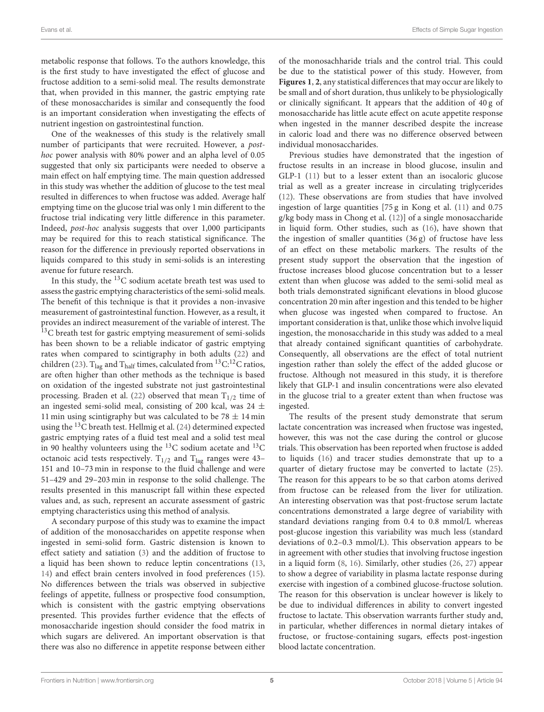metabolic response that follows. To the authors knowledge, this is the first study to have investigated the effect of glucose and fructose addition to a semi-solid meal. The results demonstrate that, when provided in this manner, the gastric emptying rate of these monosaccharides is similar and consequently the food is an important consideration when investigating the effects of nutrient ingestion on gastrointestinal function.

One of the weaknesses of this study is the relatively small number of participants that were recruited. However, a posthoc power analysis with 80% power and an alpha level of 0.05 suggested that only six participants were needed to observe a main effect on half emptying time. The main question addressed in this study was whether the addition of glucose to the test meal resulted in differences to when fructose was added. Average half emptying time on the glucose trial was only 1 min different to the fructose trial indicating very little difference in this parameter. Indeed, post-hoc analysis suggests that over 1,000 participants may be required for this to reach statistical significance. The reason for the difference in previously reported observations in liquids compared to this study in semi-solids is an interesting avenue for future research.

In this study, the  $^{13}$ C sodium acetate breath test was used to assess the gastric emptying characteristics of the semi-solid meals. The benefit of this technique is that it provides a non-invasive measurement of gastrointestinal function. However, as a result, it provides an indirect measurement of the variable of interest. The  $13<sup>13</sup>C$  breath test for gastric emptying measurement of semi-solids has been shown to be a reliable indicator of gastric emptying rates when compared to scintigraphy in both adults [\(22\)](#page-7-8) and children [\(23\)](#page-7-9). T<sub>lag</sub> and T<sub>half</sub> times, calculated from <sup>13</sup>C:<sup>12</sup>C ratios, are often higher than other methods as the technique is based on oxidation of the ingested substrate not just gastrointestinal processing. Braden et al. [\(22\)](#page-7-8) observed that mean  $T_{1/2}$  time of an ingested semi-solid meal, consisting of 200 kcal, was 24  $\pm$ 11 min using scintigraphy but was calculated to be  $78 \pm 14$  min using the <sup>13</sup>C breath test. Hellmig et al. [\(24\)](#page-7-10) determined expected gastric emptying rates of a fluid test meal and a solid test meal in 90 healthy volunteers using the  $^{13}$ C sodium acetate and  $^{13}$ C octanoic acid tests respectively.  $T_{1/2}$  and  $T_{lag}$  ranges were 43-151 and 10–73 min in response to the fluid challenge and were 51–429 and 29–203 min in response to the solid challenge. The results presented in this manuscript fall within these expected values and, as such, represent an accurate assessment of gastric emptying characteristics using this method of analysis.

A secondary purpose of this study was to examine the impact of addition of the monosaccharides on appetite response when ingested in semi-solid form. Gastric distension is known to effect satiety and satiation [\(3\)](#page-6-2) and the addition of fructose to a liquid has been shown to reduce leptin concentrations [\(13,](#page-6-12) [14\)](#page-7-0) and effect brain centers involved in food preferences [\(15\)](#page-7-1). No differences between the trials was observed in subjective feelings of appetite, fullness or prospective food consumption, which is consistent with the gastric emptying observations presented. This provides further evidence that the effects of monosaccharide ingestion should consider the food matrix in which sugars are delivered. An important observation is that there was also no difference in appetite response between either of the monosachharide trials and the control trial. This could be due to the statistical power of this study. However, from **[Figures 1](#page-3-2)**, **[2](#page-4-0)**, any statistical differences that may occur are likely to be small and of short duration, thus unlikely to be physiologically or clinically significant. It appears that the addition of 40 g of monosaccharide has little acute effect on acute appetite response when ingested in the manner described despite the increase in caloric load and there was no difference observed between individual monosaccharides.

Previous studies have demonstrated that the ingestion of fructose results in an increase in blood glucose, insulin and GLP-1 [\(11\)](#page-6-10) but to a lesser extent than an isocaloric glucose trial as well as a greater increase in circulating triglycerides [\(12\)](#page-6-11). These observations are from studies that have involved ingestion of large quantities [75 g in Kong et al. [\(11\)](#page-6-10) and 0.75 g/kg body mass in Chong et al. [\(12\)](#page-6-11)] of a single monosaccharide in liquid form. Other studies, such as [\(16\)](#page-7-2), have shown that the ingestion of smaller quantities (36 g) of fructose have less of an effect on these metabolic markers. The results of the present study support the observation that the ingestion of fructose increases blood glucose concentration but to a lesser extent than when glucose was added to the semi-solid meal as both trials demonstrated significant elevations in blood glucose concentration 20 min after ingestion and this tended to be higher when glucose was ingested when compared to fructose. An important consideration is that, unlike those which involve liquid ingestion, the monosaccharide in this study was added to a meal that already contained significant quantities of carbohydrate. Consequently, all observations are the effect of total nutrient ingestion rather than solely the effect of the added glucose or fructose. Although not measured in this study, it is therefore likely that GLP-1 and insulin concentrations were also elevated in the glucose trial to a greater extent than when fructose was ingested.

The results of the present study demonstrate that serum lactate concentration was increased when fructose was ingested, however, this was not the case during the control or glucose trials. This observation has been reported when fructose is added to liquids [\(16\)](#page-7-2) and tracer studies demonstrate that up to a quarter of dietary fructose may be converted to lactate [\(25\)](#page-7-11). The reason for this appears to be so that carbon atoms derived from fructose can be released from the liver for utilization. An interesting observation was that post-fructose serum lactate concentrations demonstrated a large degree of variability with standard deviations ranging from 0.4 to 0.8 mmol/L whereas post-glucose ingestion this variability was much less (standard deviations of 0.2–0.3 mmol/L). This observation appears to be in agreement with other studies that involving fructose ingestion in a liquid form [\(8,](#page-6-7) [16\)](#page-7-2). Similarly, other studies [\(26,](#page-7-12) [27\)](#page-7-13) appear to show a degree of variability in plasma lactate response during exercise with ingestion of a combined glucose-fructose solution. The reason for this observation is unclear however is likely to be due to individual differences in ability to convert ingested fructose to lactate. This observation warrants further study and, in particular, whether differences in normal dietary intakes of fructose, or fructose-containing sugars, effects post-ingestion blood lactate concentration.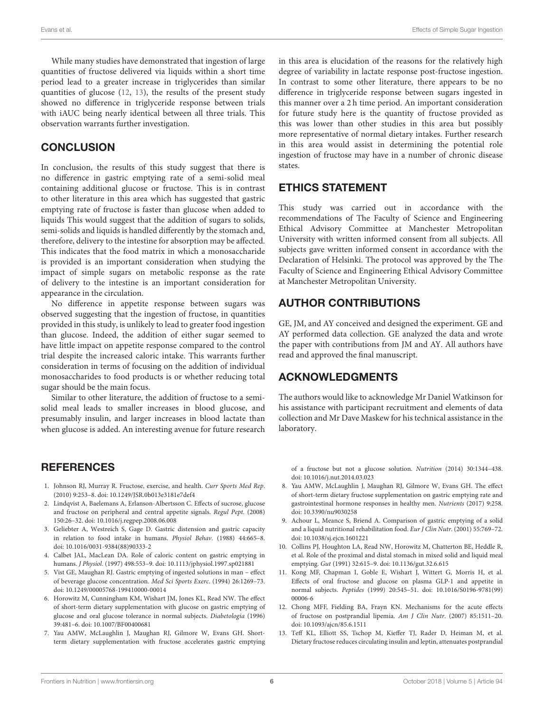While many studies have demonstrated that ingestion of large quantities of fructose delivered via liquids within a short time period lead to a greater increase in triglycerides than similar quantities of glucose [\(12,](#page-6-11) [13\)](#page-6-12), the results of the present study showed no difference in triglyceride response between trials with iAUC being nearly identical between all three trials. This observation warrants further investigation.

## **CONCLUSION**

In conclusion, the results of this study suggest that there is no difference in gastric emptying rate of a semi-solid meal containing additional glucose or fructose. This is in contrast to other literature in this area which has suggested that gastric emptying rate of fructose is faster than glucose when added to liquids This would suggest that the addition of sugars to solids, semi-solids and liquids is handled differently by the stomach and, therefore, delivery to the intestine for absorption may be affected. This indicates that the food matrix in which a monosaccharide is provided is an important consideration when studying the impact of simple sugars on metabolic response as the rate of delivery to the intestine is an important consideration for appearance in the circulation.

No difference in appetite response between sugars was observed suggesting that the ingestion of fructose, in quantities provided in this study, is unlikely to lead to greater food ingestion than glucose. Indeed, the addition of either sugar seemed to have little impact on appetite response compared to the control trial despite the increased caloric intake. This warrants further consideration in terms of focusing on the addition of individual monosaccharides to food products is or whether reducing total sugar should be the main focus.

Similar to other literature, the addition of fructose to a semisolid meal leads to smaller increases in blood glucose, and presumably insulin, and larger increases in blood lactate than when glucose is added. An interesting avenue for future research

## **REFERENCES**

- <span id="page-6-0"></span>1. Johnson RJ, Murray R. Fructose, exercise, and health. Curr Sports Med Rep. (2010) 9:253–8. doi: [10.1249/JSR.0b013e3181e7def4](https://doi.org/10.1249/JSR.0b013e3181e7def4)
- <span id="page-6-1"></span>2. Lindqvist A, Baelemans A, Erlanson-Albertsson C. Effects of sucrose, glucose and fructose on peripheral and central appetite signals. Regul Pept. (2008) 150:26–32. doi: [10.1016/j.regpep.2008.06.008](https://doi.org/10.1016/j.regpep.2008.06.008)
- <span id="page-6-2"></span>3. Geliebter A, Westreich S, Gage D. Gastric distension and gastric capacity in relation to food intake in humans. Physiol Behav. (1988) 44:665–8. doi: [10.1016/0031-9384\(88\)90333-2](https://doi.org/10.1016/0031-9384(88)90333-2)
- <span id="page-6-3"></span>4. Calbet JAL, MacLean DA. Role of caloric content on gastric emptying in humans. J Physiol. (1997) 498:553–9. doi: [10.1113/jphysiol.1997.sp021881](https://doi.org/10.1113/jphysiol.1997.sp021881)
- <span id="page-6-4"></span>5. Vist GE, Maughan RJ. Gastric emptying of ingested solutions in man – effect of beverage glucose concentration. Med Sci Sports Exerc. (1994) 26:1269–73. doi: [10.1249/00005768-199410000-00014](https://doi.org/10.1249/00005768-199410000-00014)
- <span id="page-6-5"></span>6. Horowitz M, Cunningham KM, Wishart JM, Jones KL, Read NW. The effect of short-term dietary supplementation with glucose on gastric emptying of glucose and oral glucose tolerance in normal subjects. Diabetologia (1996) 39:481–6. doi: [10.1007/BF00400681](https://doi.org/10.1007/BF00400681)
- <span id="page-6-6"></span>7. Yau AMW, McLaughlin J, Maughan RJ, Gilmore W, Evans GH. Shortterm dietary supplementation with fructose accelerates gastric emptying

in this area is elucidation of the reasons for the relatively high degree of variability in lactate response post-fructose ingestion. In contrast to some other literature, there appears to be no difference in triglyceride response between sugars ingested in this manner over a 2 h time period. An important consideration for future study here is the quantity of fructose provided as this was lower than other studies in this area but possibly more representative of normal dietary intakes. Further research in this area would assist in determining the potential role ingestion of fructose may have in a number of chronic disease states.

# ETHICS STATEMENT

This study was carried out in accordance with the recommendations of The Faculty of Science and Engineering Ethical Advisory Committee at Manchester Metropolitan University with written informed consent from all subjects. All subjects gave written informed consent in accordance with the Declaration of Helsinki. The protocol was approved by the The Faculty of Science and Engineering Ethical Advisory Committee at Manchester Metropolitan University.

# AUTHOR CONTRIBUTIONS

GE, JM, and AY conceived and designed the experiment. GE and AY performed data collection. GE analyzed the data and wrote the paper with contributions from JM and AY. All authors have read and approved the final manuscript.

# ACKNOWLEDGMENTS

The authors would like to acknowledge Mr Daniel Watkinson for his assistance with participant recruitment and elements of data collection and Mr Dave Maskew for his technical assistance in the laboratory.

of a fructose but not a glucose solution. Nutrition (2014) 30:1344–438. doi: [10.1016/j.nut.2014.03.023](https://doi.org/10.1016/j.nut.2014.03.023)

- <span id="page-6-7"></span>8. Yau AMW, McLaughlin J, Maughan RJ, Gilmore W, Evans GH. The effect of short-term dietary fructose supplementation on gastric emptying rate and gastrointestinal hormone responses in healthy men. Nutrients (2017) 9:258. doi: [10.3390/nu9030258](https://doi.org/10.3390/nu9030258)
- <span id="page-6-8"></span>9. Achour L, Meance S, Briend A. Comparison of gastric emptying of a solid and a liquid nutritional rehabilitation food. Eur J Clin Nutr. (2001) 55:769–72. doi: [10.1038/sj.ejcn.1601221](https://doi.org/10.1038/sj.ejcn.1601221)
- <span id="page-6-9"></span>10. Collins PJ, Houghton LA, Read NW, Horowitz M, Chatterton BE, Heddle R, et al. Role of the proximal and distal stomach in mixed solid and liquid meal emptying. Gut (1991) 32:615–9. doi: [10.1136/gut.32.6.615](https://doi.org/10.1136/gut.32.6.615)
- <span id="page-6-10"></span>11. Kong MF, Chapman I, Goble E, Wishart J, Wittert G, Morris H, et al. Effects of oral fructose and glucose on plasma GLP-1 and appetite in normal subjects. Peptides [\(1999\) 20:545–51. doi: 10.1016/S0196-9781\(99\)](https://doi.org/10.1016/S0196-9781(99)00006-6) 00006-6
- <span id="page-6-11"></span>12. Chong MFF, Fielding BA, Frayn KN. Mechanisms for the acute effects of fructose on postprandial lipemia. Am J Clin Nutr. (2007) 85:1511–20. doi: [10.1093/ajcn/85.6.1511](https://doi.org/10.1093/ajcn/85.6.1511)
- <span id="page-6-12"></span>13. Teff KL, Elliott SS, Tschop M, Kieffer TJ, Rader D, Heiman M, et al. Dietary fructose reduces circulating insulin and leptin, attenuates postprandial